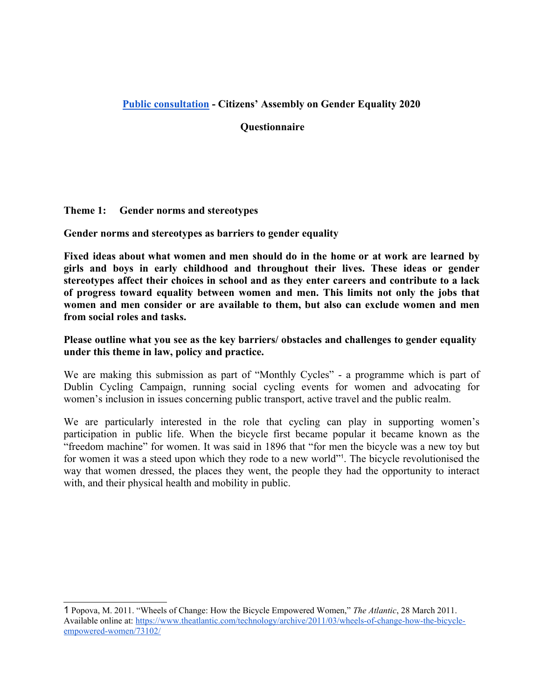# **Public consultation - Citizens' Assembly on Gender Equality 2020**

### **Questionnaire**

#### **Theme 1: Gender norms and stereotypes**

**Gender norms and stereotypes as barriers to gender equality**

**Fixed ideas about what women and men should do in the home or at work are learned by girls and boys in early childhood and throughout their lives. These ideas or gender stereotypes affect their choices in school and as they enter careers and contribute to a lack of progress toward equality between women and men. This limits not only the jobs that women and men consider or are available to them, but also can exclude women and men from social roles and tasks.** 

### **Please outline what you see as the key barriers/ obstacles and challenges to gender equality under this theme in law, policy and practice.**

We are making this submission as part of "Monthly Cycles" - a programme which is part of Dublin Cycling Campaign, running social cycling events for women and advocating for women's inclusion in issues concerning public transport, active travel and the public realm.

We are particularly interested in the role that cycling can play in supporting women's participation in public life. When the bicycle first became popular it became known as the "freedom machine" for women. It was said in 1896 that "for men the bicycle was a new toy but for women it was a steed upon which they rode to a new world"<sup>1</sup>[.](#page-0-0) The bicycle revolutionised the way that women dressed, the places they went, the people they had the opportunity to interact with, and their physical health and mobility in public.

<span id="page-0-0"></span><sup>1</sup> - Popova, M. 2011. "Wheels of Change: How the Bicycle Empowered Women," *The Atlantic*, 28 March 2011. Available online at: [https://www.theatlantic.com/technology/archive/2011/03/wheels-of-change-how-the-bicycle](https://www.theatlantic.com/technology/archive/2011/03/wheels-of-change-how-the-bicycle-empowered-women/73102/)[empowered-women/73102/](https://www.theatlantic.com/technology/archive/2011/03/wheels-of-change-how-the-bicycle-empowered-women/73102/)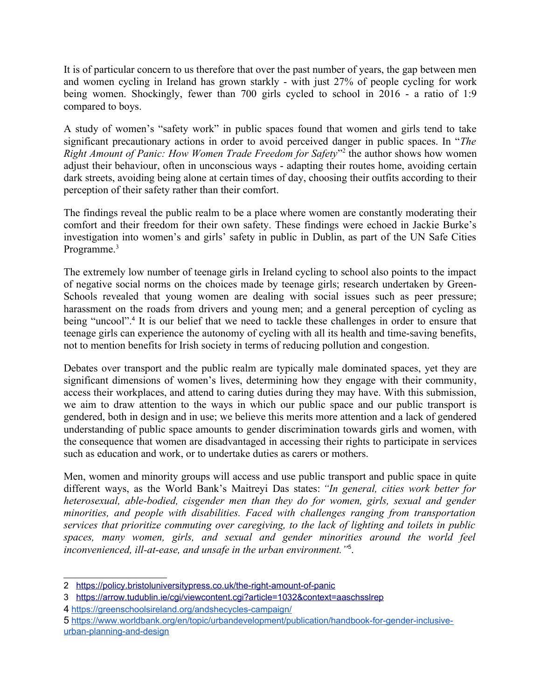It is of particular concern to us therefore that over the past number of years, the gap between men and women cycling in Ireland has grown starkly - with just 27% of people cycling for work being women. Shockingly, fewer than 700 girls cycled to school in 2016 - a ratio of 1:9 compared to boys.

A study of women's "safety work" in public spaces found that women and girls tend to take significant precautionary actions in order to avoid perceived danger in public spaces. In "*The* Right Amount of Panic: How Women Trade Freedom for Safety<sup>3[2](#page-1-0)</sup> the author shows how women adjust their behaviour, often in unconscious ways - adapting their routes home, avoiding certain dark streets, avoiding being alone at certain times of day, choosing their outfits according to their perception of their safety rather than their comfort.

The findings reveal the public realm to be a place where women are constantly moderating their comfort and their freedom for their own safety. These findings were echoed in Jackie Burke's investigation into women's and girls' safety in public in Dublin, as part of the UN Safe Cities Programme.<sup>[3](#page-1-1)</sup>

The extremely low number of teenage girls in Ireland cycling to school also points to the impact of negative social norms on the choices made by teenage girls; research undertaken by Green-Schools revealed that young women are dealing with social issues such as peer pressure; harassment on the roads from drivers and young men; and a general perception of cycling as being "uncool".<sup>[4](#page-1-2)</sup> It is our belief that we need to tackle these challenges in order to ensure that teenage girls can experience the autonomy of cycling with all its health and time-saving benefits, not to mention benefits for Irish society in terms of reducing pollution and congestion.

Debates over transport and the public realm are typically male dominated spaces, yet they are significant dimensions of women's lives, determining how they engage with their community, access their workplaces, and attend to caring duties during they may have. With this submission, we aim to draw attention to the ways in which our public space and our public transport is gendered, both in design and in use; we believe this merits more attention and a lack of gendered understanding of public space amounts to gender discrimination towards girls and women, with the consequence that women are disadvantaged in accessing their rights to participate in services such as education and work, or to undertake duties as carers or mothers.

Men, women and minority groups will access and use public transport and public space in quite different ways, as the World Bank's Maitreyi Das states: *"In general, cities work better for heterosexual, able-bodied, cisgender men than they do for women, girls, sexual and gender minorities, and people with disabilities. Faced with challenges ranging from transportation services that prioritize commuting over caregiving, to the lack of lighting and toilets in public spaces, many women, girls, and sexual and gender minorities around the world feel inconvenienced, ill-at-ease, and unsafe in the urban environment."*[5](#page-1-3) .

<span id="page-1-0"></span><sup>2</sup> <https://policy.bristoluniversitypress.co.uk/the-right-amount-of-panic>

<span id="page-1-1"></span><sup>3</sup> <https://arrow.tudublin.ie/cgi/viewcontent.cgi?article=1032&context=aaschsslrep>

<span id="page-1-2"></span><sup>4</sup> - <https://greenschoolsireland.org/andshecycles-campaign/>

<span id="page-1-3"></span><sup>5&</sup>lt;sup>I</sup>nttps://www.worldbank.org/en/topic/urbandevelopment/publication/handbook-for-gender-inclusive[urban-planning-and-design](https://www.worldbank.org/en/topic/urbandevelopment/publication/handbook-for-gender-inclusive-urban-planning-and-design)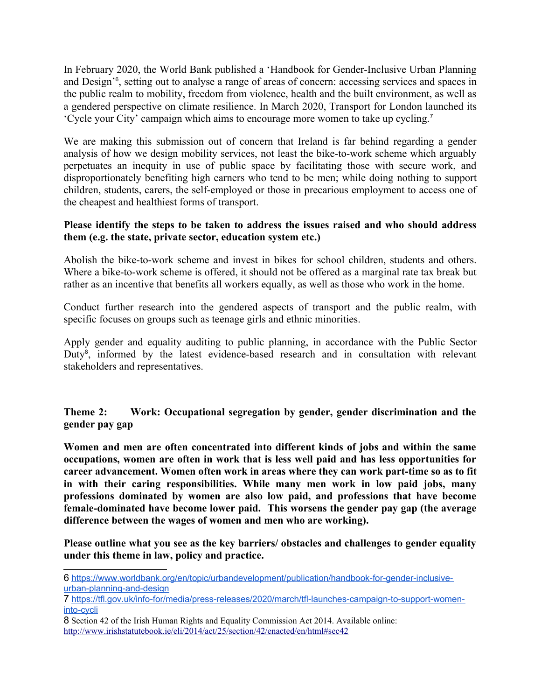In February 2020, the World Bank published a 'Handbook for Gender-Inclusive Urban Planning and Design'[6](#page-2-0) , setting out to analyse a range of areas of concern: accessing services and spaces in the public realm to mobility, freedom from violence, health and the built environment, as well as a gendered perspective on climate resilience. In March 2020, Transport for London launched its 'Cycle your City' campaign which aims to encourage more women to take up cycling.[7](#page-2-1)

We are making this submission out of concern that Ireland is far behind regarding a gender analysis of how we design mobility services, not least the bike-to-work scheme which arguably perpetuates an inequity in use of public space by facilitating those with secure work, and disproportionately benefiting high earners who tend to be men; while doing nothing to support children, students, carers, the self-employed or those in precarious employment to access one of the cheapest and healthiest forms of transport.

### **Please identify the steps to be taken to address the issues raised and who should address them (e.g. the state, private sector, education system etc.)**

Abolish the bike-to-work scheme and invest in bikes for school children, students and others. Where a bike-to-work scheme is offered, it should not be offered as a marginal rate tax break but rather as an incentive that benefits all workers equally, as well as those who work in the home.

Conduct further research into the gendered aspects of transport and the public realm, with specific focuses on groups such as teenage girls and ethnic minorities.

Apply gender and equality auditing to public planning, in accordance with the Public Sector Duty<sup>[8](#page-2-2)</sup>, informed by the latest evidence-based research and in consultation with relevant stakeholders and representatives.

**Theme 2: Work: Occupational segregation by gender, gender discrimination and the gender pay gap**

**Women and men are often concentrated into different kinds of jobs and within the same occupations, women are often in work that is less well paid and has less opportunities for career advancement. Women often work in areas where they can work part-time so as to fit in with their caring responsibilities. While many men work in low paid jobs, many professions dominated by women are also low paid, and professions that have become female-dominated have become lower paid. This worsens the gender pay gap (the average difference between the wages of women and men who are working).**

**Please outline what you see as the key barriers/ obstacles and challenges to gender equality under this theme in law, policy and practice.**

<span id="page-2-0"></span><sup>6&</sup>lt;sup>n</sup>ttps://www.worldbank.org/en/topic/urbandevelopment/publication/handbook-for-gender-inclusive[urban-planning-and-design](https://www.worldbank.org/en/topic/urbandevelopment/publication/handbook-for-gender-inclusive-urban-planning-and-design)

<span id="page-2-1"></span><sup>7&</sup>lt;sup>https://tfl.gov.uk/info-for/media/press-releases/2020/march/tfl-launches-campaign-to-support-women-</sup> [into-cycli](https://tfl.gov.uk/info-for/media/press-releases/2020/march/tfl-launches-campaign-to-support-women-into-cycli)

<span id="page-2-2"></span><sup>8</sup> - Section 42 of the Irish Human Rights and Equality Commission Act 2014. Available online: <http://www.irishstatutebook.ie/eli/2014/act/25/section/42/enacted/en/html#sec42>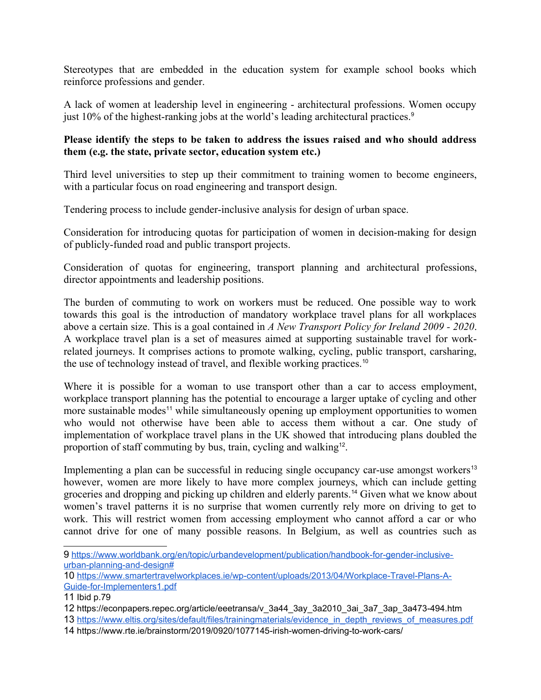Stereotypes that are embedded in the education system for example school books which reinforce professions and gender.

A lack of women at leadership level in engineering - architectural professions. Women occupy just 10% of the highest-ranking jobs at the world's leading architectural practices.<sup>[9](#page-3-0)</sup>

# **Please identify the steps to be taken to address the issues raised and who should address them (e.g. the state, private sector, education system etc.)**

Third level universities to step up their commitment to training women to become engineers, with a particular focus on road engineering and transport design.

Tendering process to include gender-inclusive analysis for design of urban space.

Consideration for introducing quotas for participation of women in decision-making for design of publicly-funded road and public transport projects.

Consideration of quotas for engineering, transport planning and architectural professions, director appointments and leadership positions.

The burden of commuting to work on workers must be reduced. One possible way to work towards this goal is the introduction of mandatory workplace travel plans for all workplaces above a certain size. This is a goal contained in *A New Transport Policy for Ireland 2009 - 2020*. A workplace travel plan is a set of measures aimed at supporting sustainable travel for workrelated journeys. It comprises actions to promote walking, cycling, public transport, carsharing, the use of technology instead of travel, and flexible working practices.<sup>[10](#page-3-1)</sup>

Where it is possible for a woman to use transport other than a car to access employment, workplace transport planning has the potential to encourage a larger uptake of cycling and other more sustainable modes<sup>[11](#page-3-2)</sup> while simultaneously opening up employment opportunities to women who would not otherwise have been able to access them without a car. One study of implementation of workplace travel plans in the UK showed that introducing plans doubled the proportion of staff commuting by bus, train, cycling and walking<sup>[12](#page-3-3)</sup>.

Implementing a plan can be successful in reducing single occupancy car-use amongst workers<sup>[13](#page-3-4)</sup> however, women are more likely to have more complex journeys, which can include getting groceries and dropping and picking up children and elderly parents.[14](#page-3-5) Given what we know about women's travel patterns it is no surprise that women currently rely more on driving to get to work. This will restrict women from accessing employment who cannot afford a car or who cannot drive for one of many possible reasons. In Belgium, as well as countries such as

<span id="page-3-0"></span><sup>9&</sup>lt;sup>https://www.worldbank.org/en/topic/urbandevelopment/publication/handbook-for-gender-inclusive-</sup> [urban-planning-and-design#](https://www.worldbank.org/en/topic/urbandevelopment/publication/handbook-for-gender-inclusive-urban-planning-and-design#)

<span id="page-3-1"></span><sup>10</sup>- [https://www.smartertravelworkplaces.ie/wp-content/uploads/2013/04/Workplace-Travel-Plans-A-](https://www.smartertravelworkplaces.ie/wp-content/uploads/2013/04/Workplace-Travel-Plans-A-Guide-for-Implementers1.pdf)[Guide-for-Implementers1.pdf](https://www.smartertravelworkplaces.ie/wp-content/uploads/2013/04/Workplace-Travel-Plans-A-Guide-for-Implementers1.pdf)

<span id="page-3-2"></span><sup>11</sup> Ibid p.79

<span id="page-3-3"></span><sup>12</sup>- https://econpapers.repec.org/article/eeetransa/v\_3a44\_3ay\_3a2010\_3ai\_3a7\_3ap\_3a473-494.htm

<span id="page-3-4"></span><sup>13&</sup>lt;sup>F</sup>[https://www.eltis.org/sites/default/files/trainingmaterials/evidence\\_in\\_depth\\_reviews\\_of\\_measures.pdf](https://www.eltis.org/sites/default/files/trainingmaterials/evidence_in_depth_reviews_of_measures.pdf)

<span id="page-3-5"></span><sup>14</sup>- https://www.rte.ie/brainstorm/2019/0920/1077145-irish-women-driving-to-work-cars/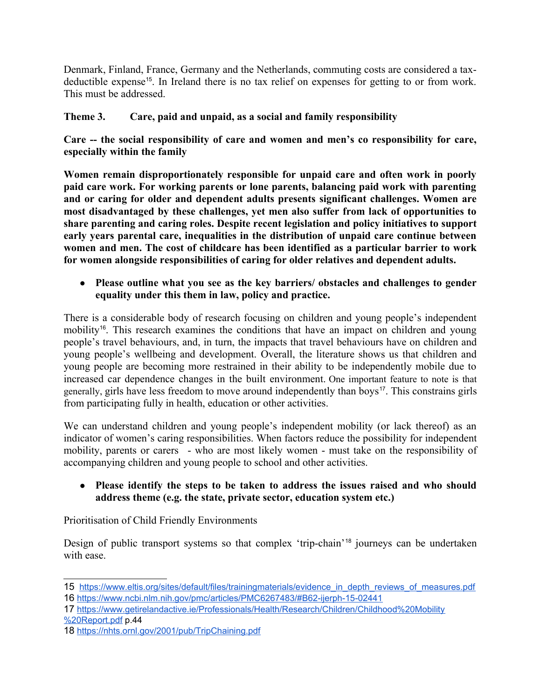Denmark, Finland, France, Germany and the Netherlands, commuting costs are considered a tax-deductible expense<sup>[15](#page-4-0)</sup>. In Ireland there is no tax relief on expenses for getting to or from work. This must be addressed.

# **Theme 3. Care, paid and unpaid, as a social and family responsibility**

**Care -- the social responsibility of care and women and men's co responsibility for care, especially within the family**

**Women remain disproportionately responsible for unpaid care and often work in poorly paid care work. For working parents or lone parents, balancing paid work with parenting and or caring for older and dependent adults presents significant challenges. Women are most disadvantaged by these challenges, yet men also suffer from lack of opportunities to share parenting and caring roles. Despite recent legislation and policy initiatives to support early years parental care, inequalities in the distribution of unpaid care continue between women and men. The cost of childcare has been identified as a particular barrier to work for women alongside responsibilities of caring for older relatives and dependent adults.** 

● **Please outline what you see as the key barriers/ obstacles and challenges to gender equality under this them in law, policy and practice.**

There is a considerable body of research focusing on children and young people's independent mobility<sup>[16](#page-4-1)</sup>. This research examines the conditions that have an impact on children and young people's travel behaviours, and, in turn, the impacts that travel behaviours have on children and young people's wellbeing and development. Overall, the literature shows us that children and young people are becoming more restrained in their ability to be independently mobile due to increased car dependence changes in the built environment. One important feature to note is that generally, girls have less freedom to move around independently than boys<sup>[17](#page-4-2)</sup>. This constrains girls from participating fully in health, education or other activities.

We can understand children and young people's independent mobility (or lack thereof) as an indicator of women's caring responsibilities. When factors reduce the possibility for independent mobility, parents or carers - who are most likely women - must take on the responsibility of accompanying children and young people to school and other activities.

● **Please identify the steps to be taken to address the issues raised and who should address theme (e.g. the state, private sector, education system etc.)**

Prioritisation of Child Friendly Environments

Design of public transport systems so that complex 'trip-chain'[18](#page-4-3) journeys can be undertaken with ease.

<span id="page-4-1"></span><span id="page-4-0"></span><sup>15&</sup>lt;sup>n</sup>[https://www.eltis.org/sites/default/files/trainingmaterials/evidence\\_in\\_depth\\_reviews\\_of\\_measures.pdf](https://www.eltis.org/sites/default/files/trainingmaterials/evidence_in_depth_reviews_of_measures.pdf) 16- <https://www.ncbi.nlm.nih.gov/pmc/articles/PMC6267483/#B62-ijerph-15-02441>

<span id="page-4-2"></span><sup>17&</sup>lt;sup>F</sup>[https://www.getirelandactive.ie/Professionals/Health/Research/Children/Childhood%20Mobility](https://www.getirelandactive.ie/Professionals/Health/Research/Children/Childhood%20Mobility%20Report.pdf) [%20Report.pdf](https://www.getirelandactive.ie/Professionals/Health/Research/Children/Childhood%20Mobility%20Report.pdf) p.44

<span id="page-4-3"></span><sup>18</sup>- <https://nhts.ornl.gov/2001/pub/TripChaining.pdf>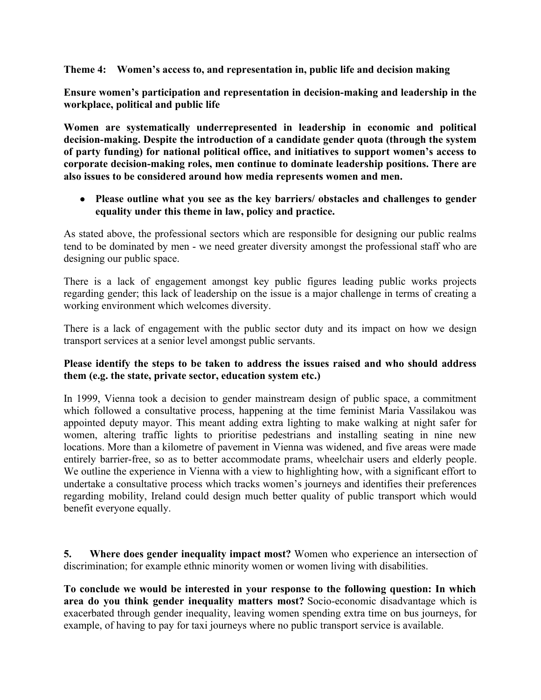**Theme 4: Women's access to, and representation in, public life and decision making**

**Ensure women's participation and representation in decision-making and leadership in the workplace, political and public life**

**Women are systematically underrepresented in leadership in economic and political decision-making. Despite the introduction of a candidate gender quota (through the system of party funding) for national political office, and initiatives to support women's access to corporate decision-making roles, men continue to dominate leadership positions. There are also issues to be considered around how media represents women and men.**

● **Please outline what you see as the key barriers/ obstacles and challenges to gender equality under this theme in law, policy and practice.**

As stated above, the professional sectors which are responsible for designing our public realms tend to be dominated by men - we need greater diversity amongst the professional staff who are designing our public space.

There is a lack of engagement amongst key public figures leading public works projects regarding gender; this lack of leadership on the issue is a major challenge in terms of creating a working environment which welcomes diversity.

There is a lack of engagement with the public sector duty and its impact on how we design transport services at a senior level amongst public servants.

### **Please identify the steps to be taken to address the issues raised and who should address them (e.g. the state, private sector, education system etc.)**

In 1999, Vienna took a decision to gender mainstream design of public space, a commitment which followed a consultative process, happening at the time feminist Maria Vassilakou was appointed deputy mayor. This meant adding extra lighting to make walking at night safer for women, altering traffic lights to prioritise pedestrians and installing seating in nine new locations. More than a kilometre of pavement in Vienna was widened, and five areas were made entirely barrier-free, so as to better accommodate prams, wheelchair users and elderly people. We outline the experience in Vienna with a view to highlighting how, with a significant effort to undertake a consultative process which tracks women's journeys and identifies their preferences regarding mobility, Ireland could design much better quality of public transport which would benefit everyone equally.

**5. Where does gender inequality impact most?** Women who experience an intersection of discrimination; for example ethnic minority women or women living with disabilities.

**To conclude we would be interested in your response to the following question: In which area do you think gender inequality matters most?** Socio-economic disadvantage which is exacerbated through gender inequality, leaving women spending extra time on bus journeys, for example, of having to pay for taxi journeys where no public transport service is available.